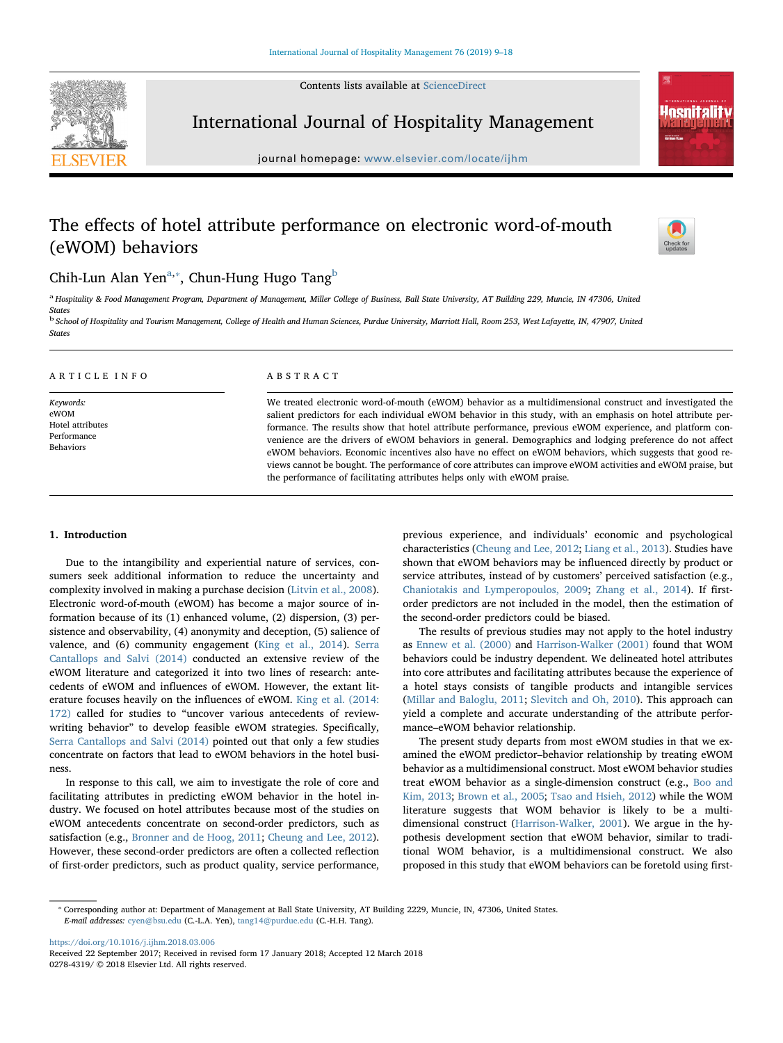Contents lists available at [ScienceDirect](http://www.sciencedirect.com/science/journal/02784319)



International Journal of Hospitality Management

journal homepage: [www.elsevier.com/locate/ijhm](https://www.elsevier.com/locate/ijhm)

# The effects of hotel attribute performance on electronic word-of-mouth (eWOM) behaviors



**nenitality** 

# Chih-Lun Al[a](#page-0-0)n Yen $^{\rm a, *},$  Chun-Hung Hugo Tang $^{\rm b}$  $^{\rm b}$  $^{\rm b}$

<span id="page-0-0"></span>a Hospitality & Food Management Program, Department of Management, Miller College of Business, Ball State University, AT Building 229, Muncie, IN 47306, United States

<span id="page-0-2"></span><sup>b</sup> School of Hospitality and Tourism Management, College of Health and Human Sciences, Purdue University, Marriott Hall, Room 253, West Lafayette, IN, 47907, United **States** 

| ARTICLE INFO                                                      | ABSTRACT                                                                                                                                                                                                                                                                                                                                                                                                                                                                                                                                                    |
|-------------------------------------------------------------------|-------------------------------------------------------------------------------------------------------------------------------------------------------------------------------------------------------------------------------------------------------------------------------------------------------------------------------------------------------------------------------------------------------------------------------------------------------------------------------------------------------------------------------------------------------------|
| Keywords:<br>eWOM<br>Hotel attributes<br>Performance<br>Behaviors | We treated electronic word-of-mouth (eWOM) behavior as a multidimensional construct and investigated the<br>salient predictors for each individual eWOM behavior in this study, with an emphasis on hotel attribute per-<br>formance. The results show that hotel attribute performance, previous eWOM experience, and platform con-<br>venience are the drivers of eWOM behaviors in general. Demographics and lodging preference do not affect<br>eWOM behaviors. Economic incentives also have no effect on eWOM behaviors, which suggests that good re- |
|                                                                   | views cannot be bought. The performance of core attributes can improve eWOM activities and eWOM praise, but<br>the performance of facilitating attributes helps only with eWOM praise.                                                                                                                                                                                                                                                                                                                                                                      |

## 1. Introduction

Due to the intangibility and experiential nature of services, consumers seek additional information to reduce the uncertainty and complexity involved in making a purchase decision ([Litvin et al., 2008](#page-8-0)). Electronic word-of-mouth (eWOM) has become a major source of information because of its (1) enhanced volume, (2) dispersion, (3) persistence and observability, (4) anonymity and deception, (5) salience of valence, and (6) community engagement ([King et al., 2014\)](#page-8-1). [Serra](#page-8-2) [Cantallops and Salvi \(2014\)](#page-8-2) conducted an extensive review of the eWOM literature and categorized it into two lines of research: antecedents of eWOM and influences of eWOM. However, the extant literature focuses heavily on the influences of eWOM. [King et al. \(2014:](#page-8-1) [172\)](#page-8-1) called for studies to "uncover various antecedents of reviewwriting behavior" to develop feasible eWOM strategies. Specifically, [Serra Cantallops and Salvi \(2014\)](#page-8-2) pointed out that only a few studies concentrate on factors that lead to eWOM behaviors in the hotel business.

In response to this call, we aim to investigate the role of core and facilitating attributes in predicting eWOM behavior in the hotel industry. We focused on hotel attributes because most of the studies on eWOM antecedents concentrate on second-order predictors, such as satisfaction (e.g., [Bronner and de Hoog, 2011](#page-8-3); [Cheung and Lee, 2012](#page-8-4)). However, these second-order predictors are often a collected reflection of first-order predictors, such as product quality, service performance,

previous experience, and individuals' economic and psychological characteristics [\(Cheung and Lee, 2012;](#page-8-4) [Liang et al., 2013](#page-8-5)). Studies have shown that eWOM behaviors may be influenced directly by product or service attributes, instead of by customers' perceived satisfaction (e.g., [Chaniotakis and Lymperopoulos, 2009](#page-8-6); [Zhang et al., 2014\)](#page-9-0). If firstorder predictors are not included in the model, then the estimation of the second-order predictors could be biased.

The results of previous studies may not apply to the hotel industry as [Ennew et al. \(2000\)](#page-8-7) and [Harrison-Walker \(2001\)](#page-8-8) found that WOM behaviors could be industry dependent. We delineated hotel attributes into core attributes and facilitating attributes because the experience of a hotel stays consists of tangible products and intangible services ([Millar and Baloglu, 2011](#page-8-9); [Slevitch and Oh, 2010](#page-8-10)). This approach can yield a complete and accurate understanding of the attribute performance–eWOM behavior relationship.

The present study departs from most eWOM studies in that we examined the eWOM predictor–behavior relationship by treating eWOM behavior as a multidimensional construct. Most eWOM behavior studies treat eWOM behavior as a single-dimension construct (e.g., [Boo and](#page-8-11) [Kim, 2013;](#page-8-11) [Brown et al., 2005](#page-8-12); Tsao [and Hsieh, 2012](#page-9-1)) while the WOM literature suggests that WOM behavior is likely to be a multidimensional construct [\(Harrison-Walker, 2001](#page-8-8)). We argue in the hypothesis development section that eWOM behavior, similar to traditional WOM behavior, is a multidimensional construct. We also proposed in this study that eWOM behaviors can be foretold using first-

<https://doi.org/10.1016/j.ijhm.2018.03.006>

<span id="page-0-1"></span><sup>⁎</sup> Corresponding author at: Department of Management at Ball State University, AT Building 2229, Muncie, IN, 47306, United States. E-mail addresses: [cyen@bsu.edu](mailto:cyen@bsu.edu) (C.-L.A. Yen), [tang14@purdue.edu](mailto:tang14@purdue.edu) (C.-H.H. Tang).

Received 22 September 2017; Received in revised form 17 January 2018; Accepted 12 March 2018 0278-4319/ © 2018 Elsevier Ltd. All rights reserved.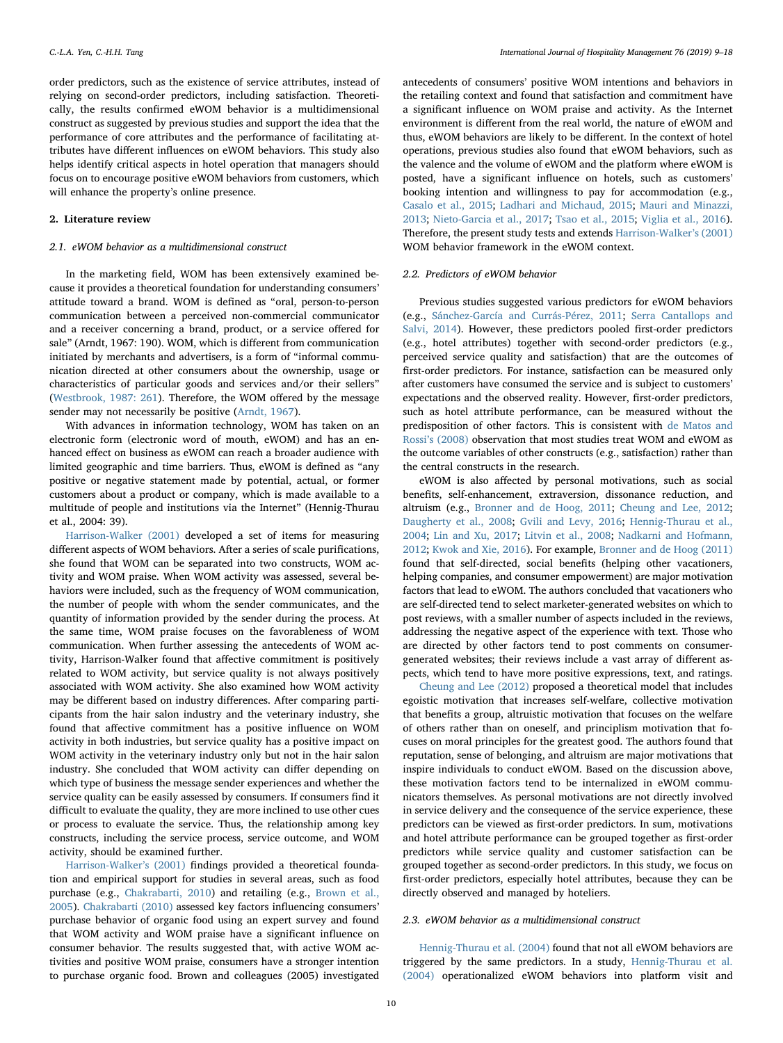order predictors, such as the existence of service attributes, instead of relying on second-order predictors, including satisfaction. Theoretically, the results confirmed eWOM behavior is a multidimensional construct as suggested by previous studies and support the idea that the performance of core attributes and the performance of facilitating attributes have different influences on eWOM behaviors. This study also helps identify critical aspects in hotel operation that managers should focus on to encourage positive eWOM behaviors from customers, which will enhance the property's online presence.

## 2. Literature review

## 2.1. eWOM behavior as a multidimensional construct

In the marketing field, WOM has been extensively examined because it provides a theoretical foundation for understanding consumers' attitude toward a brand. WOM is defined as "oral, person-to-person communication between a perceived non-commercial communicator and a receiver concerning a brand, product, or a service offered for sale" (Arndt, 1967: 190). WOM, which is different from communication initiated by merchants and advertisers, is a form of "informal communication directed at other consumers about the ownership, usage or characteristics of particular goods and services and/or their sellers" ([Westbrook, 1987: 261](#page-9-2)). Therefore, the WOM offered by the message sender may not necessarily be positive ([Arndt, 1967\)](#page-8-13).

With advances in information technology, WOM has taken on an electronic form (electronic word of mouth, eWOM) and has an enhanced effect on business as eWOM can reach a broader audience with limited geographic and time barriers. Thus, eWOM is defined as "any positive or negative statement made by potential, actual, or former customers about a product or company, which is made available to a multitude of people and institutions via the Internet" (Hennig-Thurau et al., 2004: 39).

[Harrison-Walker \(2001\)](#page-8-8) developed a set of items for measuring different aspects of WOM behaviors. After a series of scale purifications, she found that WOM can be separated into two constructs, WOM activity and WOM praise. When WOM activity was assessed, several behaviors were included, such as the frequency of WOM communication, the number of people with whom the sender communicates, and the quantity of information provided by the sender during the process. At the same time, WOM praise focuses on the favorableness of WOM communication. When further assessing the antecedents of WOM activity, Harrison-Walker found that affective commitment is positively related to WOM activity, but service quality is not always positively associated with WOM activity. She also examined how WOM activity may be different based on industry differences. After comparing participants from the hair salon industry and the veterinary industry, she found that affective commitment has a positive influence on WOM activity in both industries, but service quality has a positive impact on WOM activity in the veterinary industry only but not in the hair salon industry. She concluded that WOM activity can differ depending on which type of business the message sender experiences and whether the service quality can be easily assessed by consumers. If consumers find it difficult to evaluate the quality, they are more inclined to use other cues or process to evaluate the service. Thus, the relationship among key constructs, including the service process, service outcome, and WOM activity, should be examined further.

[Harrison-Walker](#page-8-8)'s (2001) findings provided a theoretical foundation and empirical support for studies in several areas, such as food purchase (e.g., [Chakrabarti, 2010\)](#page-8-14) and retailing (e.g., [Brown et al.,](#page-8-12) [2005\)](#page-8-12). [Chakrabarti \(2010\)](#page-8-14) assessed key factors influencing consumers' purchase behavior of organic food using an expert survey and found that WOM activity and WOM praise have a significant influence on consumer behavior. The results suggested that, with active WOM activities and positive WOM praise, consumers have a stronger intention to purchase organic food. Brown and colleagues (2005) investigated

antecedents of consumers' positive WOM intentions and behaviors in the retailing context and found that satisfaction and commitment have a significant influence on WOM praise and activity. As the Internet environment is different from the real world, the nature of eWOM and thus, eWOM behaviors are likely to be different. In the context of hotel operations, previous studies also found that eWOM behaviors, such as the valence and the volume of eWOM and the platform where eWOM is posted, have a significant influence on hotels, such as customers' booking intention and willingness to pay for accommodation (e.g., [Casalo et al., 2015;](#page-8-15) [Ladhari and Michaud, 2015](#page-8-16); [Mauri and Minazzi,](#page-8-17) [2013;](#page-8-17) [Nieto-Garcia et al., 2017;](#page-8-18) [Tsao et al., 2015;](#page-9-3) [Viglia et al., 2016](#page-9-4)). Therefore, the present study tests and extends [Harrison-Walker](#page-8-8)'s (2001) WOM behavior framework in the eWOM context.

## 2.2. Predictors of eWOM behavior

Previous studies suggested various predictors for eWOM behaviors (e.g., [Sánchez-García and Currás-Pérez, 2011;](#page-8-19) [Serra Cantallops and](#page-8-2) [Salvi, 2014\)](#page-8-2). However, these predictors pooled first-order predictors (e.g., hotel attributes) together with second-order predictors (e.g., perceived service quality and satisfaction) that are the outcomes of first-order predictors. For instance, satisfaction can be measured only after customers have consumed the service and is subject to customers' expectations and the observed reality. However, first-order predictors, such as hotel attribute performance, can be measured without the predisposition of other factors. This is consistent with [de Matos and](#page-8-20) Rossi's [\(2008\)](#page-8-20) observation that most studies treat WOM and eWOM as the outcome variables of other constructs (e.g., satisfaction) rather than the central constructs in the research.

eWOM is also affected by personal motivations, such as social benefits, self-enhancement, extraversion, dissonance reduction, and altruism (e.g., [Bronner and de Hoog, 2011;](#page-8-3) [Cheung and Lee, 2012](#page-8-4); [Daugherty et al., 2008;](#page-8-21) [Gvili and Levy, 2016](#page-8-22); [Hennig-Thurau et al.,](#page-8-23) [2004;](#page-8-23) [Lin and Xu, 2017;](#page-8-24) [Litvin et al., 2008;](#page-8-0) [Nadkarni and Hofmann,](#page-8-25) [2012;](#page-8-25) [Kwok and Xie, 2016](#page-8-26)). For example, [Bronner and de Hoog \(2011\)](#page-8-3) found that self-directed, social benefits (helping other vacationers, helping companies, and consumer empowerment) are major motivation factors that lead to eWOM. The authors concluded that vacationers who are self-directed tend to select marketer-generated websites on which to post reviews, with a smaller number of aspects included in the reviews, addressing the negative aspect of the experience with text. Those who are directed by other factors tend to post comments on consumergenerated websites; their reviews include a vast array of different aspects, which tend to have more positive expressions, text, and ratings.

[Cheung and Lee \(2012\)](#page-8-4) proposed a theoretical model that includes egoistic motivation that increases self-welfare, collective motivation that benefits a group, altruistic motivation that focuses on the welfare of others rather than on oneself, and principlism motivation that focuses on moral principles for the greatest good. The authors found that reputation, sense of belonging, and altruism are major motivations that inspire individuals to conduct eWOM. Based on the discussion above, these motivation factors tend to be internalized in eWOM communicators themselves. As personal motivations are not directly involved in service delivery and the consequence of the service experience, these predictors can be viewed as first-order predictors. In sum, motivations and hotel attribute performance can be grouped together as first-order predictors while service quality and customer satisfaction can be grouped together as second-order predictors. In this study, we focus on first-order predictors, especially hotel attributes, because they can be directly observed and managed by hoteliers.

#### 2.3. eWOM behavior as a multidimensional construct

[Hennig-Thurau et al. \(2004\)](#page-8-23) found that not all eWOM behaviors are triggered by the same predictors. In a study, [Hennig-Thurau et al.](#page-8-23) [\(2004\)](#page-8-23) operationalized eWOM behaviors into platform visit and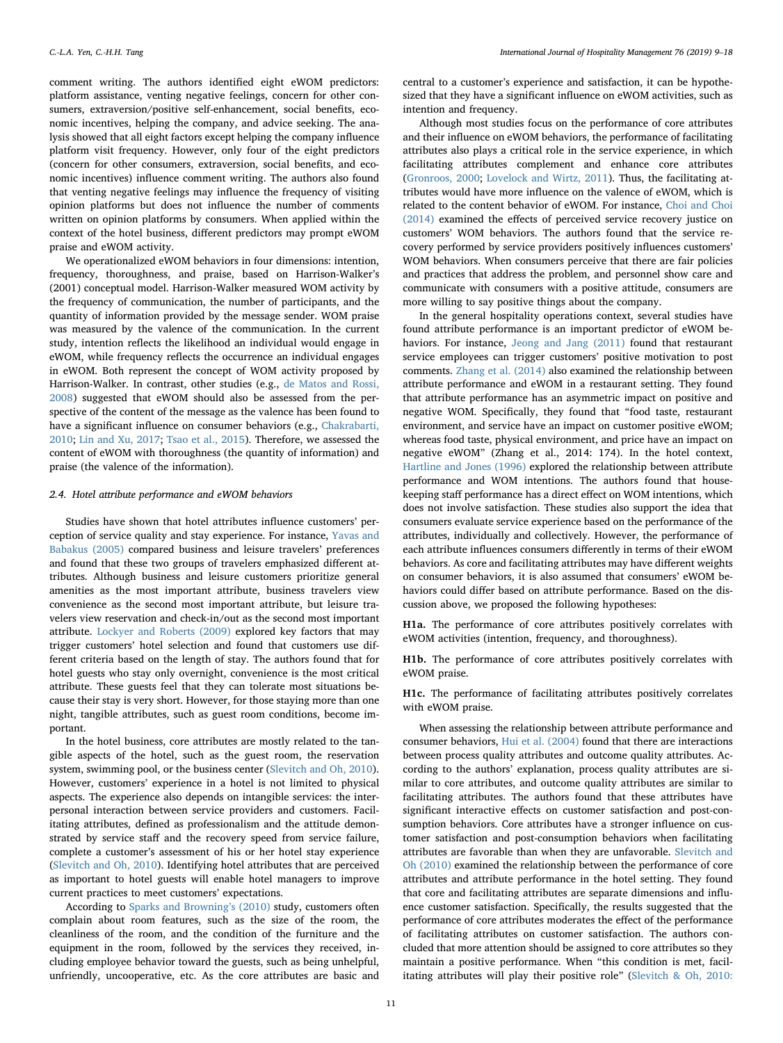comment writing. The authors identified eight eWOM predictors: platform assistance, venting negative feelings, concern for other consumers, extraversion/positive self-enhancement, social benefits, economic incentives, helping the company, and advice seeking. The analysis showed that all eight factors except helping the company influence platform visit frequency. However, only four of the eight predictors (concern for other consumers, extraversion, social benefits, and economic incentives) influence comment writing. The authors also found that venting negative feelings may influence the frequency of visiting opinion platforms but does not influence the number of comments written on opinion platforms by consumers. When applied within the context of the hotel business, different predictors may prompt eWOM praise and eWOM activity.

We operationalized eWOM behaviors in four dimensions: intention, frequency, thoroughness, and praise, based on Harrison-Walker's (2001) conceptual model. Harrison-Walker measured WOM activity by the frequency of communication, the number of participants, and the quantity of information provided by the message sender. WOM praise was measured by the valence of the communication. In the current study, intention reflects the likelihood an individual would engage in eWOM, while frequency reflects the occurrence an individual engages in eWOM. Both represent the concept of WOM activity proposed by Harrison-Walker. In contrast, other studies (e.g., [de Matos and Rossi,](#page-8-20) [2008\)](#page-8-20) suggested that eWOM should also be assessed from the perspective of the content of the message as the valence has been found to have a significant influence on consumer behaviors (e.g., [Chakrabarti,](#page-8-14) [2010;](#page-8-14) [Lin and Xu, 2017](#page-8-24); [Tsao et al., 2015](#page-9-3)). Therefore, we assessed the content of eWOM with thoroughness (the quantity of information) and praise (the valence of the information).

## 2.4. Hotel attribute performance and eWOM behaviors

Studies have shown that hotel attributes influence customers' perception of service quality and stay experience. For instance, [Yavas and](#page-9-5) [Babakus \(2005\)](#page-9-5) compared business and leisure travelers' preferences and found that these two groups of travelers emphasized different attributes. Although business and leisure customers prioritize general amenities as the most important attribute, business travelers view convenience as the second most important attribute, but leisure travelers view reservation and check-in/out as the second most important attribute. [Lockyer and Roberts \(2009\)](#page-8-27) explored key factors that may trigger customers' hotel selection and found that customers use different criteria based on the length of stay. The authors found that for hotel guests who stay only overnight, convenience is the most critical attribute. These guests feel that they can tolerate most situations because their stay is very short. However, for those staying more than one night, tangible attributes, such as guest room conditions, become important.

In the hotel business, core attributes are mostly related to the tangible aspects of the hotel, such as the guest room, the reservation system, swimming pool, or the business center [\(Slevitch and Oh, 2010](#page-8-10)). However, customers' experience in a hotel is not limited to physical aspects. The experience also depends on intangible services: the interpersonal interaction between service providers and customers. Facilitating attributes, defined as professionalism and the attitude demonstrated by service staff and the recovery speed from service failure, complete a customer's assessment of his or her hotel stay experience ([Slevitch and Oh, 2010\)](#page-8-10). Identifying hotel attributes that are perceived as important to hotel guests will enable hotel managers to improve current practices to meet customers' expectations.

According to [Sparks and Browning](#page-8-28)'s (2010) study, customers often complain about room features, such as the size of the room, the cleanliness of the room, and the condition of the furniture and the equipment in the room, followed by the services they received, including employee behavior toward the guests, such as being unhelpful, unfriendly, uncooperative, etc. As the core attributes are basic and

central to a customer's experience and satisfaction, it can be hypothesized that they have a significant influence on eWOM activities, such as intention and frequency.

Although most studies focus on the performance of core attributes and their influence on eWOM behaviors, the performance of facilitating attributes also plays a critical role in the service experience, in which facilitating attributes complement and enhance core attributes ([Gronroos, 2000](#page-8-29); [Lovelock and Wirtz, 2011\)](#page-8-30). Thus, the facilitating attributes would have more influence on the valence of eWOM, which is related to the content behavior of eWOM. For instance, [Choi and Choi](#page-8-31) [\(2014\)](#page-8-31) examined the effects of perceived service recovery justice on customers' WOM behaviors. The authors found that the service recovery performed by service providers positively influences customers' WOM behaviors. When consumers perceive that there are fair policies and practices that address the problem, and personnel show care and communicate with consumers with a positive attitude, consumers are more willing to say positive things about the company.

In the general hospitality operations context, several studies have found attribute performance is an important predictor of eWOM behaviors. For instance, [Jeong and Jang \(2011\)](#page-8-32) found that restaurant service employees can trigger customers' positive motivation to post comments. [Zhang et al. \(2014\)](#page-9-0) also examined the relationship between attribute performance and eWOM in a restaurant setting. They found that attribute performance has an asymmetric impact on positive and negative WOM. Specifically, they found that "food taste, restaurant environment, and service have an impact on customer positive eWOM; whereas food taste, physical environment, and price have an impact on negative eWOM" (Zhang et al., 2014: 174). In the hotel context, [Hartline and Jones \(1996\)](#page-8-33) explored the relationship between attribute performance and WOM intentions. The authors found that housekeeping staff performance has a direct effect on WOM intentions, which does not involve satisfaction. These studies also support the idea that consumers evaluate service experience based on the performance of the attributes, individually and collectively. However, the performance of each attribute influences consumers differently in terms of their eWOM behaviors. As core and facilitating attributes may have different weights on consumer behaviors, it is also assumed that consumers' eWOM behaviors could differ based on attribute performance. Based on the discussion above, we proposed the following hypotheses:

H1a. The performance of core attributes positively correlates with eWOM activities (intention, frequency, and thoroughness).

H1b. The performance of core attributes positively correlates with eWOM praise.

H1c. The performance of facilitating attributes positively correlates with eWOM praise.

When assessing the relationship between attribute performance and consumer behaviors, [Hui et al. \(2004\)](#page-8-34) found that there are interactions between process quality attributes and outcome quality attributes. According to the authors' explanation, process quality attributes are similar to core attributes, and outcome quality attributes are similar to facilitating attributes. The authors found that these attributes have significant interactive effects on customer satisfaction and post-consumption behaviors. Core attributes have a stronger influence on customer satisfaction and post-consumption behaviors when facilitating attributes are favorable than when they are unfavorable. [Slevitch and](#page-8-10) [Oh \(2010\)](#page-8-10) examined the relationship between the performance of core attributes and attribute performance in the hotel setting. They found that core and facilitating attributes are separate dimensions and influence customer satisfaction. Specifically, the results suggested that the performance of core attributes moderates the effect of the performance of facilitating attributes on customer satisfaction. The authors concluded that more attention should be assigned to core attributes so they maintain a positive performance. When "this condition is met, facilitating attributes will play their positive role" ([Slevitch & Oh, 2010:](#page-8-10)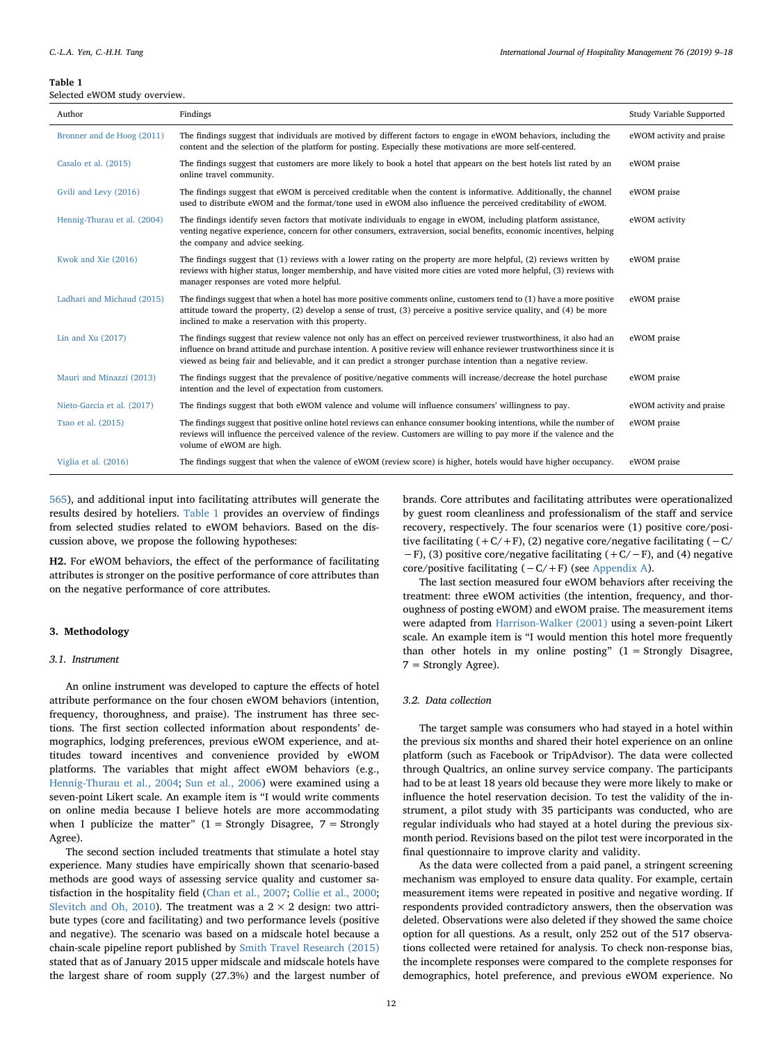#### <span id="page-3-0"></span>Table 1

Selected eWOM study overview.

| Author                      | Findings                                                                                                                                                                                                                                                                                                                                                          | Study Variable Supported |
|-----------------------------|-------------------------------------------------------------------------------------------------------------------------------------------------------------------------------------------------------------------------------------------------------------------------------------------------------------------------------------------------------------------|--------------------------|
| Bronner and de Hoog (2011)  | The findings suggest that individuals are motived by different factors to engage in eWOM behaviors, including the<br>content and the selection of the platform for posting. Especially these motivations are more self-centered.                                                                                                                                  | eWOM activity and praise |
| Casalo et al. (2015)        | The findings suggest that customers are more likely to book a hotel that appears on the best hotels list rated by an<br>online travel community.                                                                                                                                                                                                                  | eWOM praise              |
| Gvili and Levy (2016)       | The findings suggest that eWOM is perceived creditable when the content is informative. Additionally, the channel<br>used to distribute eWOM and the format/tone used in eWOM also influence the perceived creditability of eWOM.                                                                                                                                 | eWOM praise              |
| Hennig-Thurau et al. (2004) | The findings identify seven factors that motivate individuals to engage in eWOM, including platform assistance,<br>venting negative experience, concern for other consumers, extraversion, social benefits, economic incentives, helping<br>the company and advice seeking.                                                                                       | eWOM activity            |
| Kwok and Xie (2016)         | The findings suggest that (1) reviews with a lower rating on the property are more helpful, (2) reviews written by<br>reviews with higher status, longer membership, and have visited more cities are voted more helpful, (3) reviews with<br>manager responses are voted more helpful.                                                                           | eWOM praise              |
| Ladhari and Michaud (2015)  | The findings suggest that when a hotel has more positive comments online, customers tend to (1) have a more positive<br>attitude toward the property, (2) develop a sense of trust, (3) perceive a positive service quality, and (4) be more<br>inclined to make a reservation with this property.                                                                | eWOM praise              |
| Lin and Xu $(2017)$         | The findings suggest that review valence not only has an effect on perceived reviewer trustworthiness, it also had an<br>influence on brand attitude and purchase intention. A positive review will enhance reviewer trustworthiness since it is<br>viewed as being fair and believable, and it can predict a stronger purchase intention than a negative review. | eWOM praise              |
| Mauri and Minazzi (2013)    | The findings suggest that the prevalence of positive/negative comments will increase/decrease the hotel purchase<br>intention and the level of expectation from customers.                                                                                                                                                                                        | eWOM praise              |
| Nieto-Garcia et al. (2017)  | The findings suggest that both eWOM valence and volume will influence consumers' willingness to pay.                                                                                                                                                                                                                                                              | eWOM activity and praise |
| Tsao et al. (2015)          | The findings suggest that positive online hotel reviews can enhance consumer booking intentions, while the number of<br>reviews will influence the perceived valence of the review. Customers are willing to pay more if the valence and the<br>volume of eWOM are high.                                                                                          | eWOM praise              |
| Viglia et al. (2016)        | The findings suggest that when the valence of eWOM (review score) is higher, hotels would have higher occupancy.                                                                                                                                                                                                                                                  | eWOM praise              |

[565](#page-8-10)), and additional input into facilitating attributes will generate the results desired by hoteliers. [Table 1](#page-3-0) provides an overview of findings from selected studies related to eWOM behaviors. Based on the discussion above, we propose the following hypotheses:

H2. For eWOM behaviors, the effect of the performance of facilitating attributes is stronger on the positive performance of core attributes than on the negative performance of core attributes.

## 3. Methodology

#### 3.1. Instrument

An online instrument was developed to capture the effects of hotel attribute performance on the four chosen eWOM behaviors (intention, frequency, thoroughness, and praise). The instrument has three sections. The first section collected information about respondents' demographics, lodging preferences, previous eWOM experience, and attitudes toward incentives and convenience provided by eWOM platforms. The variables that might affect eWOM behaviors (e.g., [Hennig-Thurau et al., 2004;](#page-8-23) [Sun et al., 2006](#page-9-6)) were examined using a seven-point Likert scale. An example item is "I would write comments on online media because I believe hotels are more accommodating when I publicize the matter"  $(1 =$  Strongly Disagree,  $7 =$  Strongly Agree).

The second section included treatments that stimulate a hotel stay experience. Many studies have empirically shown that scenario-based methods are good ways of assessing service quality and customer satisfaction in the hospitality field [\(Chan et al., 2007](#page-8-35); [Collie et al., 2000](#page-8-36); [Slevitch and Oh, 2010](#page-8-10)). The treatment was a  $2 \times 2$  design: two attribute types (core and facilitating) and two performance levels (positive and negative). The scenario was based on a midscale hotel because a chain-scale pipeline report published by [Smith Travel Research \(2015\)](#page-8-37) stated that as of January 2015 upper midscale and midscale hotels have the largest share of room supply (27.3%) and the largest number of

brands. Core attributes and facilitating attributes were operationalized by guest room cleanliness and professionalism of the staff and service recovery, respectively. The four scenarios were (1) positive core/positive facilitating  $(+C/+F)$ , (2) negative core/negative facilitating  $(-C/-F)$ −F), (3) positive core/negative facilitating (+C/−F), and (4) negative core/positive facilitating (−C/+F) (see [Appendix A\)](#page-7-0).

The last section measured four eWOM behaviors after receiving the treatment: three eWOM activities (the intention, frequency, and thoroughness of posting eWOM) and eWOM praise. The measurement items were adapted from [Harrison-Walker \(2001\)](#page-8-8) using a seven-point Likert scale. An example item is "I would mention this hotel more frequently than other hotels in my online posting" (1 = Strongly Disagree, 7 = Strongly Agree).

## 3.2. Data collection

The target sample was consumers who had stayed in a hotel within the previous six months and shared their hotel experience on an online platform (such as Facebook or TripAdvisor). The data were collected through Qualtrics, an online survey service company. The participants had to be at least 18 years old because they were more likely to make or influence the hotel reservation decision. To test the validity of the instrument, a pilot study with 35 participants was conducted, who are regular individuals who had stayed at a hotel during the previous sixmonth period. Revisions based on the pilot test were incorporated in the final questionnaire to improve clarity and validity.

As the data were collected from a paid panel, a stringent screening mechanism was employed to ensure data quality. For example, certain measurement items were repeated in positive and negative wording. If respondents provided contradictory answers, then the observation was deleted. Observations were also deleted if they showed the same choice option for all questions. As a result, only 252 out of the 517 observations collected were retained for analysis. To check non-response bias, the incomplete responses were compared to the complete responses for demographics, hotel preference, and previous eWOM experience. No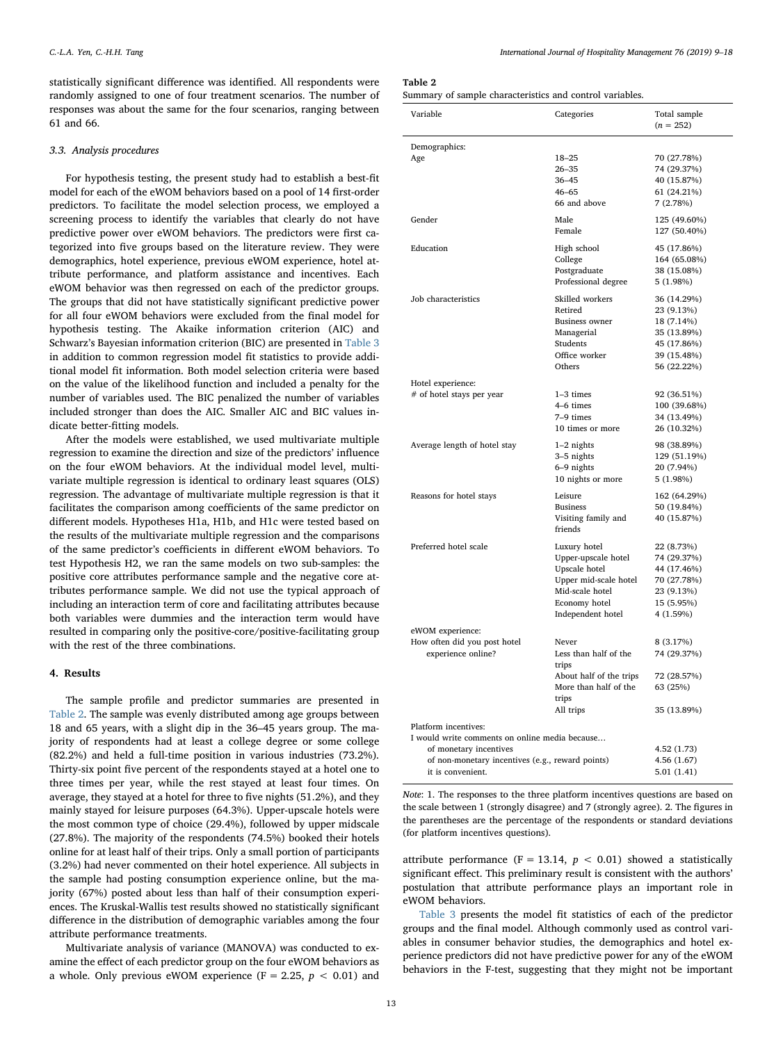statistically significant difference was identified. All respondents were randomly assigned to one of four treatment scenarios. The number of responses was about the same for the four scenarios, ranging between 61 and 66.

#### 3.3. Analysis procedures

For hypothesis testing, the present study had to establish a best-fit model for each of the eWOM behaviors based on a pool of 14 first-order predictors. To facilitate the model selection process, we employed a screening process to identify the variables that clearly do not have predictive power over eWOM behaviors. The predictors were first categorized into five groups based on the literature review. They were demographics, hotel experience, previous eWOM experience, hotel attribute performance, and platform assistance and incentives. Each eWOM behavior was then regressed on each of the predictor groups. The groups that did not have statistically significant predictive power for all four eWOM behaviors were excluded from the final model for hypothesis testing. The Akaike information criterion (AIC) and Schwarz's Bayesian information criterion (BIC) are presented in [Table 3](#page-5-0) in addition to common regression model fit statistics to provide additional model fit information. Both model selection criteria were based on the value of the likelihood function and included a penalty for the number of variables used. The BIC penalized the number of variables included stronger than does the AIC. Smaller AIC and BIC values indicate better-fitting models.

After the models were established, we used multivariate multiple regression to examine the direction and size of the predictors' influence on the four eWOM behaviors. At the individual model level, multivariate multiple regression is identical to ordinary least squares (OLS) regression. The advantage of multivariate multiple regression is that it facilitates the comparison among coefficients of the same predictor on different models. Hypotheses H1a, H1b, and H1c were tested based on the results of the multivariate multiple regression and the comparisons of the same predictor's coefficients in different eWOM behaviors. To test Hypothesis H2, we ran the same models on two sub-samples: the positive core attributes performance sample and the negative core attributes performance sample. We did not use the typical approach of including an interaction term of core and facilitating attributes because both variables were dummies and the interaction term would have resulted in comparing only the positive-core/positive-facilitating group with the rest of the three combinations.

### 4. Results

The sample profile and predictor summaries are presented in [Table 2.](#page-4-0) The sample was evenly distributed among age groups between 18 and 65 years, with a slight dip in the 36–45 years group. The majority of respondents had at least a college degree or some college (82.2%) and held a full-time position in various industries (73.2%). Thirty-six point five percent of the respondents stayed at a hotel one to three times per year, while the rest stayed at least four times. On average, they stayed at a hotel for three to five nights (51.2%), and they mainly stayed for leisure purposes (64.3%). Upper-upscale hotels were the most common type of choice (29.4%), followed by upper midscale (27.8%). The majority of the respondents (74.5%) booked their hotels online for at least half of their trips. Only a small portion of participants (3.2%) had never commented on their hotel experience. All subjects in the sample had posting consumption experience online, but the majority (67%) posted about less than half of their consumption experiences. The Kruskal-Wallis test results showed no statistically significant difference in the distribution of demographic variables among the four attribute performance treatments.

Multivariate analysis of variance (MANOVA) was conducted to examine the effect of each predictor group on the four eWOM behaviors as a whole. Only previous eWOM experience (F = 2.25,  $p < 0.01$ ) and

<span id="page-4-0"></span>

| î |  |
|---|--|
|---|--|

| Summary of sample characteristics and control variables. |  |  |  |
|----------------------------------------------------------|--|--|--|
|----------------------------------------------------------|--|--|--|

| Variable                                         | Categories                           | Total sample<br>$(n = 252)$ |  |  |  |
|--------------------------------------------------|--------------------------------------|-----------------------------|--|--|--|
|                                                  |                                      |                             |  |  |  |
| Demographics:<br>Age                             | $18 - 25$                            | 70 (27.78%)                 |  |  |  |
|                                                  | 26–35                                | 74 (29.37%)                 |  |  |  |
|                                                  | $36 - 45$                            | 40 (15.87%)                 |  |  |  |
|                                                  | $46 - 65$                            | 61 (24.21%)                 |  |  |  |
|                                                  | 66 and above                         | 7(2.78%)                    |  |  |  |
| Gender                                           | Male                                 | 125 (49.60%)                |  |  |  |
|                                                  | Female                               | 127 (50.40%)                |  |  |  |
| Education                                        | High school                          | 45 (17.86%)                 |  |  |  |
|                                                  | College                              | 164 (65.08%)                |  |  |  |
|                                                  | Postgraduate                         | 38 (15.08%)                 |  |  |  |
|                                                  | Professional degree                  | 5 (1.98%)                   |  |  |  |
| Job characteristics                              | Skilled workers                      | 36 (14.29%)                 |  |  |  |
|                                                  | Retired                              | 23 (9.13%)                  |  |  |  |
|                                                  | <b>Business owner</b>                | 18 (7.14%)                  |  |  |  |
|                                                  | Managerial                           | 35 (13.89%)                 |  |  |  |
|                                                  | Students                             | 45 (17.86%)                 |  |  |  |
|                                                  | Office worker                        | 39 (15.48%)                 |  |  |  |
|                                                  | Others                               | 56 (22.22%)                 |  |  |  |
| Hotel experience:                                |                                      |                             |  |  |  |
| # of hotel stays per year                        | $1-3$ times                          | 92 (36.51%)                 |  |  |  |
|                                                  | 4–6 times                            | 100 (39.68%)                |  |  |  |
|                                                  | 7-9 times                            | 34 (13.49%)                 |  |  |  |
|                                                  | 10 times or more                     | 26 (10.32%)                 |  |  |  |
| Average length of hotel stay                     | $1-2$ nights                         | 98 (38.89%)                 |  |  |  |
|                                                  | 3-5 nights                           | 129 (51.19%)                |  |  |  |
|                                                  | 6–9 nights                           | 20 (7.94%)                  |  |  |  |
|                                                  | 10 nights or more                    | 5 (1.98%)                   |  |  |  |
| Reasons for hotel stays                          | Leisure                              | 162 (64.29%)                |  |  |  |
|                                                  | <b>Business</b>                      | 50 (19.84%)                 |  |  |  |
|                                                  | Visiting family and<br>friends       | 40 (15.87%)                 |  |  |  |
|                                                  |                                      |                             |  |  |  |
| Preferred hotel scale                            | Luxury hotel                         | 22 (8.73%)                  |  |  |  |
|                                                  | Upper-upscale hotel<br>Upscale hotel | 74 (29.37%)<br>44 (17.46%)  |  |  |  |
|                                                  | Upper mid-scale hotel                | 70 (27.78%)                 |  |  |  |
|                                                  | Mid-scale hotel                      | 23 (9.13%)                  |  |  |  |
|                                                  | Economy hotel                        | 15 (5.95%)                  |  |  |  |
|                                                  | Independent hotel                    | 4 (1.59%)                   |  |  |  |
|                                                  |                                      |                             |  |  |  |
| eWOM experience:<br>How often did you post hotel | Never                                | 8 (3.17%)                   |  |  |  |
| experience online?                               | Less than half of the                | 74 (29.37%)                 |  |  |  |
|                                                  | trips                                |                             |  |  |  |
|                                                  | About half of the trips              | 72 (28.57%)                 |  |  |  |
|                                                  | More than half of the                | 63 (25%)                    |  |  |  |
|                                                  | trips                                |                             |  |  |  |
|                                                  | All trips                            | 35 (13.89%)                 |  |  |  |
| Platform incentives:                             |                                      |                             |  |  |  |
| I would write comments on online media because   |                                      |                             |  |  |  |
| of monetary incentives                           |                                      | 4.52 (1.73)                 |  |  |  |
| of non-monetary incentives (e.g., reward points) |                                      | 4.56 (1.67)                 |  |  |  |
| it is convenient.                                |                                      | 5.01(1.41)                  |  |  |  |

Note: 1. The responses to the three platform incentives questions are based on the scale between 1 (strongly disagree) and 7 (strongly agree). 2. The figures in the parentheses are the percentage of the respondents or standard deviations (for platform incentives questions).

attribute performance (F = 13.14,  $p$  < 0.01) showed a statistically significant effect. This preliminary result is consistent with the authors' postulation that attribute performance plays an important role in eWOM behaviors.

[Table 3](#page-5-0) presents the model fit statistics of each of the predictor groups and the final model. Although commonly used as control variables in consumer behavior studies, the demographics and hotel experience predictors did not have predictive power for any of the eWOM behaviors in the F-test, suggesting that they might not be important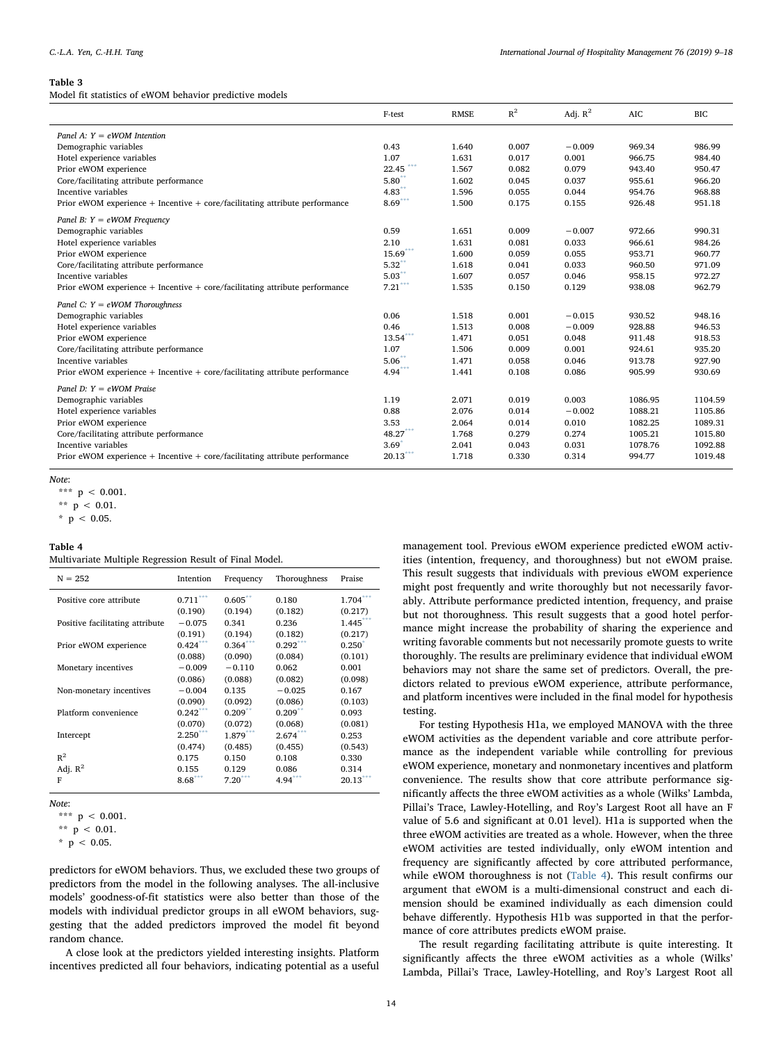#### <span id="page-5-0"></span>Table 3

Model fit statistics of eWOM behavior predictive models

|                                                                                 | F-test               | <b>RMSE</b> | $R^2$ | Adj. $R^2$ | <b>AIC</b> | <b>BIC</b> |
|---------------------------------------------------------------------------------|----------------------|-------------|-------|------------|------------|------------|
| Panel A: $Y = eWOM$ Intention                                                   |                      |             |       |            |            |            |
| Demographic variables                                                           | 0.43                 | 1.640       | 0.007 | $-0.009$   | 969.34     | 986.99     |
| Hotel experience variables                                                      | 1.07                 | 1.631       | 0.017 | 0.001      | 966.75     | 984.40     |
| Prior eWOM experience                                                           | 22.45                | 1.567       | 0.082 | 0.079      | 943.40     | 950.47     |
| Core/facilitating attribute performance                                         | 5.80                 | 1.602       | 0.045 | 0.037      | 955.61     | 966.20     |
| Incentive variables                                                             | $4.83$ <sup>**</sup> | 1.596       | 0.055 | 0.044      | 954.76     | 968.88     |
| Prior eWOM experience $+$ Incentive $+$ core/facilitating attribute performance | $8.69***$            | 1.500       | 0.175 | 0.155      | 926.48     | 951.18     |
| Panel B: $Y = eWOM$ Frequency                                                   |                      |             |       |            |            |            |
| Demographic variables                                                           | 0.59                 | 1.651       | 0.009 | $-0.007$   | 972.66     | 990.31     |
| Hotel experience variables                                                      | 2.10                 | 1.631       | 0.081 | 0.033      | 966.61     | 984.26     |
| Prior eWOM experience                                                           | $15.69***$           | 1.600       | 0.059 | 0.055      | 953.71     | 960.77     |
| Core/facilitating attribute performance                                         | $5.32^*$             | 1.618       | 0.041 | 0.033      | 960.50     | 971.09     |
| Incentive variables                                                             | 5.03                 | 1.607       | 0.057 | 0.046      | 958.15     | 972.27     |
| Prior eWOM experience $+$ Incentive $+$ core/facilitating attribute performance | $7.21***$            | 1.535       | 0.150 | 0.129      | 938.08     | 962.79     |
| Panel C: $Y = eWOM$ Thoroughness                                                |                      |             |       |            |            |            |
| Demographic variables                                                           | 0.06                 | 1.518       | 0.001 | $-0.015$   | 930.52     | 948.16     |
| Hotel experience variables                                                      | 0.46                 | 1.513       | 0.008 | $-0.009$   | 928.88     | 946.53     |
| Prior eWOM experience                                                           | $13.54***$           | 1.471       | 0.051 | 0.048      | 911.48     | 918.53     |
| Core/facilitating attribute performance                                         | 1.07                 | 1.506       | 0.009 | 0.001      | 924.61     | 935.20     |
| Incentive variables                                                             | $5.06^{**}$          | 1.471       | 0.058 | 0.046      | 913.78     | 927.90     |
| Prior eWOM experience $+$ Incentive $+$ core/facilitating attribute performance | 4.94                 | 1.441       | 0.108 | 0.086      | 905.99     | 930.69     |
| Panel D: $Y = eWOM$ Praise                                                      |                      |             |       |            |            |            |
| Demographic variables                                                           | 1.19                 | 2.071       | 0.019 | 0.003      | 1086.95    | 1104.59    |
| Hotel experience variables                                                      | 0.88                 | 2.076       | 0.014 | $-0.002$   | 1088.21    | 1105.86    |
| Prior eWOM experience                                                           | 3.53                 | 2.064       | 0.014 | 0.010      | 1082.25    | 1089.31    |
| Core/facilitating attribute performance                                         | $48.27***$           | 1.768       | 0.279 | 0.274      | 1005.21    | 1015.80    |
| Incentive variables                                                             | 3.69                 | 2.041       | 0.043 | 0.031      | 1078.76    | 1092.88    |
| Prior eWOM experience $+$ Incentive $+$ core/facilitating attribute performance | $20.13^\ast$         | 1.718       | 0.330 | 0.314      | 994.77     | 1019.48    |

Note:

<span id="page-5-4"></span><span id="page-5-3"></span><span id="page-5-2"></span>\*\*\*  $p < 0.001$ . \*\*  $p < 0.01$ . \*  $p$  < 0.05.

## <span id="page-5-1"></span>Table 4

| Multivariate Multiple Regression Result of Final Model. |  |  |  |  |  |  |
|---------------------------------------------------------|--|--|--|--|--|--|
|---------------------------------------------------------|--|--|--|--|--|--|

| $N = 252$                       | Intention              | Frequency  | Thoroughness | Praise      |
|---------------------------------|------------------------|------------|--------------|-------------|
| Positive core attribute         | $0.711^{\ast\ast\ast}$ | $0.605$ ** | 0.180        | 1.704       |
|                                 | (0.190)                | (0.194)    | (0.182)      | (0.217)     |
| Positive facilitating attribute | $-0.075$               | 0.341      | 0.236        | $1.445***$  |
|                                 | (0.191)                | (0.194)    | (0.182)      | (0.217)     |
| Prior eWOM experience           | $0.424***$             | $0.364***$ | $0.292***$   | $0.250^{*}$ |
|                                 | (0.088)                | (0.090)    | (0.084)      | (0.101)     |
| Monetary incentives             | $-0.009$               | $-0.110$   | 0.062        | 0.001       |
|                                 | (0.086)                | (0.088)    | (0.082)      | (0.098)     |
| Non-monetary incentives         | $-0.004$               | 0.135      | $-0.025$     | 0.167       |
|                                 | (0.090)                | (0.092)    | (0.086)      | (0.103)     |
| Platform convenience            | $0.242***$             | $0.209**$  | $0.209$ **   | 0.093       |
|                                 | (0.070)                | (0.072)    | (0.068)      | (0.081)     |
| Intercept                       | $2.250***$             | 1.879***   | $2.674***$   | 0.253       |
|                                 | (0.474)                | (0.485)    | (0.455)      | (0.543)     |
| $R^2$                           | 0.175                  | 0.150      | 0.108        | 0.330       |
| Adj. $R^2$                      | 0.155                  | 0.129      | 0.086        | 0.314       |
| F                               | $8.68***$              | $7.20***$  | $4.94***$    | $20.13***$  |

Note:

<span id="page-5-5"></span>\*\*\*  $p < 0.001$ .

<span id="page-5-6"></span>\*\*  $p$  < 0.01.

predictors for eWOM behaviors. Thus, we excluded these two groups of predictors from the model in the following analyses. The all-inclusive models' goodness-of-fit statistics were also better than those of the models with individual predictor groups in all eWOM behaviors, suggesting that the added predictors improved the model fit beyond random chance.

A close look at the predictors yielded interesting insights. Platform incentives predicted all four behaviors, indicating potential as a useful management tool. Previous eWOM experience predicted eWOM activities (intention, frequency, and thoroughness) but not eWOM praise. This result suggests that individuals with previous eWOM experience might post frequently and write thoroughly but not necessarily favorably. Attribute performance predicted intention, frequency, and praise but not thoroughness. This result suggests that a good hotel performance might increase the probability of sharing the experience and writing favorable comments but not necessarily promote guests to write thoroughly. The results are preliminary evidence that individual eWOM behaviors may not share the same set of predictors. Overall, the predictors related to previous eWOM experience, attribute performance, and platform incentives were included in the final model for hypothesis testing.

For testing Hypothesis H1a, we employed MANOVA with the three eWOM activities as the dependent variable and core attribute performance as the independent variable while controlling for previous eWOM experience, monetary and nonmonetary incentives and platform convenience. The results show that core attribute performance significantly affects the three eWOM activities as a whole (Wilks' Lambda, Pillai's Trace, Lawley-Hotelling, and Roy's Largest Root all have an F value of 5.6 and significant at 0.01 level). H1a is supported when the three eWOM activities are treated as a whole. However, when the three eWOM activities are tested individually, only eWOM intention and frequency are significantly affected by core attributed performance, while eWOM thoroughness is not [\(Table 4\)](#page-5-1). This result confirms our argument that eWOM is a multi-dimensional construct and each dimension should be examined individually as each dimension could behave differently. Hypothesis H1b was supported in that the performance of core attributes predicts eWOM praise.

The result regarding facilitating attribute is quite interesting. It significantly affects the three eWOM activities as a whole (Wilks' Lambda, Pillai's Trace, Lawley-Hotelling, and Roy's Largest Root all

<span id="page-5-7"></span> $*$  p < 0.05.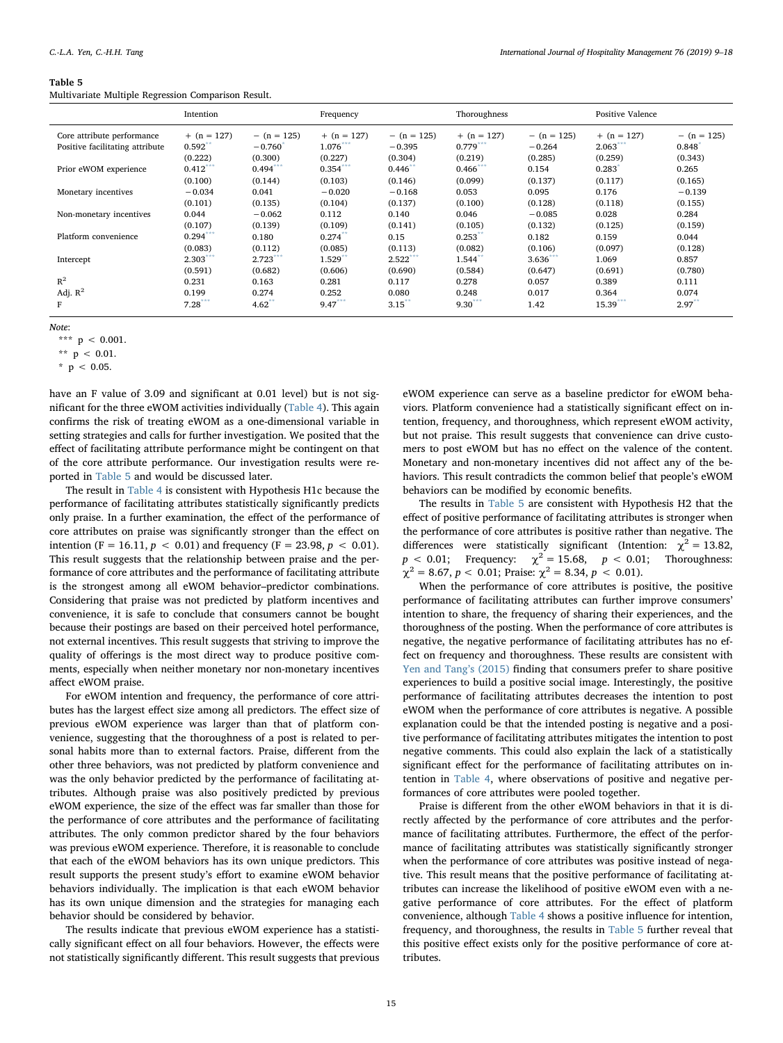#### <span id="page-6-0"></span>Table 5

Multivariate Multiple Regression Comparison Result.

|                                 | Intention            |               | Frequency     |                      | Thoroughness         |               | Positive Valence |                      |
|---------------------------------|----------------------|---------------|---------------|----------------------|----------------------|---------------|------------------|----------------------|
| Core attribute performance      | $+$ (n = 127)        | $- (n = 125)$ | $+$ (n = 127) | $- (n = 125)$        | $+$ (n = 127)        | $- (n = 125)$ | $+$ (n = 127)    | $-$ (n = 125)        |
| Positive facilitating attribute | $0.592$ <sup>*</sup> | $-0.760$      | $1.076$ ***   | $-0.395$             | $0.779***$           | $-0.264$      | 2.063            | 0.848                |
|                                 | (0.222)              | (0.300)       | (0.227)       | (0.304)              | (0.219)              | (0.285)       | (0.259)          | (0.343)              |
| Prior eWOM experience           | $0.412***$           | 0.494         | $0.354***$    | 0.446                | $0.466$ ***          | 0.154         | 0.283            | 0.265                |
|                                 | (0.100)              | (0.144)       | (0.103)       | (0.146)              | (0.099)              | (0.137)       | (0.117)          | (0.165)              |
| Monetary incentives             | $-0.034$             | 0.041         | $-0.020$      | $-0.168$             | 0.053                | 0.095         | 0.176            | $-0.139$             |
|                                 | (0.101)              | (0.135)       | (0.104)       | (0.137)              | (0.100)              | (0.128)       | (0.118)          | (0.155)              |
| Non-monetary incentives         | 0.044                | $-0.062$      | 0.112         | 0.140                | 0.046                | $-0.085$      | 0.028            | 0.284                |
|                                 | (0.107)              | (0.139)       | (0.109)       | (0.141)              | (0.105)              | (0.132)       | (0.125)          | (0.159)              |
| Platform convenience            | $0.294***$           | 0.180         | 0.274         | 0.15                 | 0.253                | 0.182         | 0.159            | 0.044                |
|                                 | (0.083)              | (0.112)       | (0.085)       | (0.113)              | (0.082)              | (0.106)       | (0.097)          | (0.128)              |
| Intercept                       | $2.303***$           | 2.723         | 1.529         | $2.522***$           | $1.544$ <sup>*</sup> | $3.636***$    | 1.069            | 0.857                |
|                                 | (0.591)              | (0.682)       | (0.606)       | (0.690)              | (0.584)              | (0.647)       | (0.691)          | (0.780)              |
| $R^2$                           | 0.231                | 0.163         | 0.281         | 0.117                | 0.278                | 0.057         | 0.389            | 0.111                |
| Adj. $R^2$                      | 0.199                | 0.274         | 0.252         | 0.080                | 0.248                | 0.017         | 0.364            | 0.074                |
| F                               | 7.28                 | 4.62          | $9.47***$     | $3.15$ <sup>**</sup> | $9.30^{1}$           | 1.42          | 15.39***         | $2.97$ <sup>**</sup> |

Note:

<span id="page-6-3"></span>\*\*\*  $p$  < 0.001.

<span id="page-6-1"></span>\*\*  $p$  < 0.01.

<span id="page-6-2"></span> $*$  p < 0.05.

have an F value of 3.09 and significant at 0.01 level) but is not significant for the three eWOM activities individually [\(Table 4](#page-5-1)). This again confirms the risk of treating eWOM as a one-dimensional variable in setting strategies and calls for further investigation. We posited that the effect of facilitating attribute performance might be contingent on that of the core attribute performance. Our investigation results were reported in [Table 5](#page-6-0) and would be discussed later.

The result in [Table 4](#page-5-1) is consistent with Hypothesis H1c because the performance of facilitating attributes statistically significantly predicts only praise. In a further examination, the effect of the performance of core attributes on praise was significantly stronger than the effect on intention (F = 16.11,  $p < 0.01$ ) and frequency (F = 23.98,  $p < 0.01$ ). This result suggests that the relationship between praise and the performance of core attributes and the performance of facilitating attribute is the strongest among all eWOM behavior–predictor combinations. Considering that praise was not predicted by platform incentives and convenience, it is safe to conclude that consumers cannot be bought because their postings are based on their perceived hotel performance, not external incentives. This result suggests that striving to improve the quality of offerings is the most direct way to produce positive comments, especially when neither monetary nor non-monetary incentives affect eWOM praise.

For eWOM intention and frequency, the performance of core attributes has the largest effect size among all predictors. The effect size of previous eWOM experience was larger than that of platform convenience, suggesting that the thoroughness of a post is related to personal habits more than to external factors. Praise, different from the other three behaviors, was not predicted by platform convenience and was the only behavior predicted by the performance of facilitating attributes. Although praise was also positively predicted by previous eWOM experience, the size of the effect was far smaller than those for the performance of core attributes and the performance of facilitating attributes. The only common predictor shared by the four behaviors was previous eWOM experience. Therefore, it is reasonable to conclude that each of the eWOM behaviors has its own unique predictors. This result supports the present study's effort to examine eWOM behavior behaviors individually. The implication is that each eWOM behavior has its own unique dimension and the strategies for managing each behavior should be considered by behavior.

The results indicate that previous eWOM experience has a statistically significant effect on all four behaviors. However, the effects were not statistically significantly different. This result suggests that previous eWOM experience can serve as a baseline predictor for eWOM behaviors. Platform convenience had a statistically significant effect on intention, frequency, and thoroughness, which represent eWOM activity, but not praise. This result suggests that convenience can drive customers to post eWOM but has no effect on the valence of the content. Monetary and non-monetary incentives did not affect any of the behaviors. This result contradicts the common belief that people's eWOM behaviors can be modified by economic benefits.

The results in [Table 5](#page-6-0) are consistent with Hypothesis H2 that the effect of positive performance of facilitating attributes is stronger when the performance of core attributes is positive rather than negative. The differences were statistically significant (Intention:  $\chi^2 = 13.82$ ,  $p < 0.01$ ; Frequency:  $\chi^2 = 15.68$ ,  $p < 0.01$ ; Thoroughness:  $\chi^2 = 8.67$ ,  $p < 0.01$ ; Praise:  $\chi^2 = 8.34$ ,  $p < 0.01$ ).

When the performance of core attributes is positive, the positive performance of facilitating attributes can further improve consumers' intention to share, the frequency of sharing their experiences, and the thoroughness of the posting. When the performance of core attributes is negative, the negative performance of facilitating attributes has no effect on frequency and thoroughness. These results are consistent with [Yen and Tang](#page-9-7)'s (2015) finding that consumers prefer to share positive experiences to build a positive social image. Interestingly, the positive performance of facilitating attributes decreases the intention to post eWOM when the performance of core attributes is negative. A possible explanation could be that the intended posting is negative and a positive performance of facilitating attributes mitigates the intention to post negative comments. This could also explain the lack of a statistically significant effect for the performance of facilitating attributes on intention in [Table 4](#page-5-1), where observations of positive and negative performances of core attributes were pooled together.

Praise is different from the other eWOM behaviors in that it is directly affected by the performance of core attributes and the performance of facilitating attributes. Furthermore, the effect of the performance of facilitating attributes was statistically significantly stronger when the performance of core attributes was positive instead of negative. This result means that the positive performance of facilitating attributes can increase the likelihood of positive eWOM even with a negative performance of core attributes. For the effect of platform convenience, although [Table 4](#page-5-1) shows a positive influence for intention, frequency, and thoroughness, the results in [Table 5](#page-6-0) further reveal that this positive effect exists only for the positive performance of core attributes.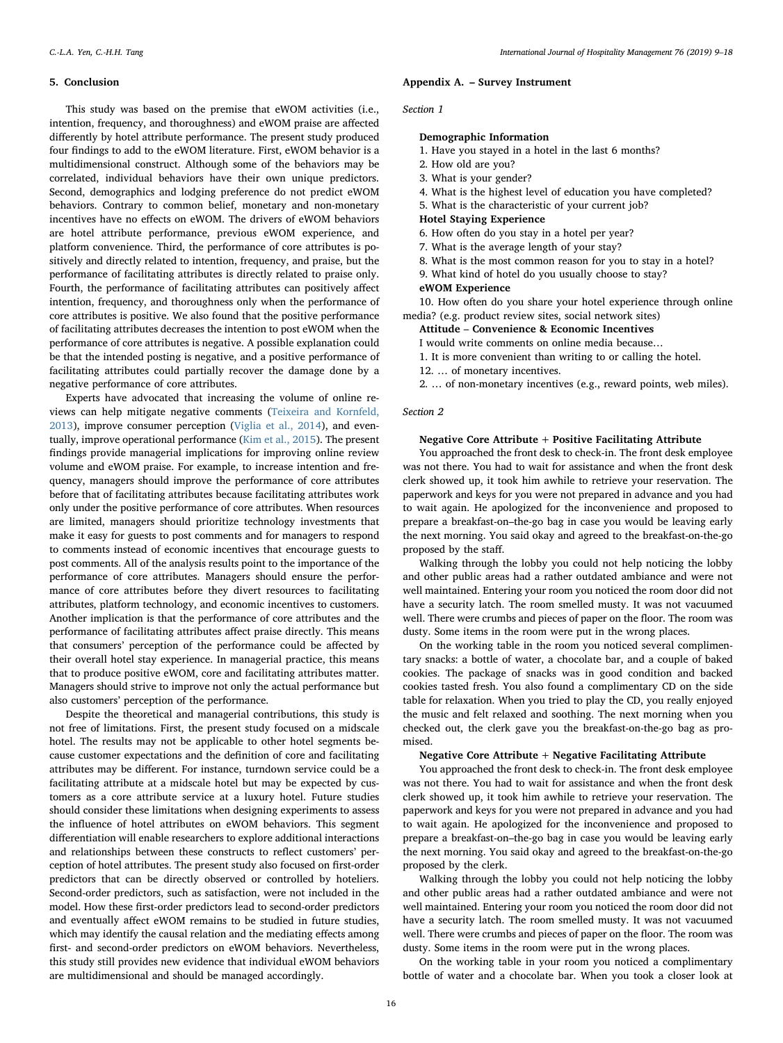#### 5. Conclusion

This study was based on the premise that eWOM activities (i.e., intention, frequency, and thoroughness) and eWOM praise are affected differently by hotel attribute performance. The present study produced four findings to add to the eWOM literature. First, eWOM behavior is a multidimensional construct. Although some of the behaviors may be correlated, individual behaviors have their own unique predictors. Second, demographics and lodging preference do not predict eWOM behaviors. Contrary to common belief, monetary and non-monetary incentives have no effects on eWOM. The drivers of eWOM behaviors are hotel attribute performance, previous eWOM experience, and platform convenience. Third, the performance of core attributes is positively and directly related to intention, frequency, and praise, but the performance of facilitating attributes is directly related to praise only. Fourth, the performance of facilitating attributes can positively affect intention, frequency, and thoroughness only when the performance of core attributes is positive. We also found that the positive performance of facilitating attributes decreases the intention to post eWOM when the performance of core attributes is negative. A possible explanation could be that the intended posting is negative, and a positive performance of facilitating attributes could partially recover the damage done by a negative performance of core attributes.

Experts have advocated that increasing the volume of online reviews can help mitigate negative comments [\(Teixeira and Kornfeld,](#page-9-8) [2013\)](#page-9-8), improve consumer perception [\(Viglia et al., 2014\)](#page-9-9), and eventually, improve operational performance ([Kim et al., 2015](#page-8-38)). The present findings provide managerial implications for improving online review volume and eWOM praise. For example, to increase intention and frequency, managers should improve the performance of core attributes before that of facilitating attributes because facilitating attributes work only under the positive performance of core attributes. When resources are limited, managers should prioritize technology investments that make it easy for guests to post comments and for managers to respond to comments instead of economic incentives that encourage guests to post comments. All of the analysis results point to the importance of the performance of core attributes. Managers should ensure the performance of core attributes before they divert resources to facilitating attributes, platform technology, and economic incentives to customers. Another implication is that the performance of core attributes and the performance of facilitating attributes affect praise directly. This means that consumers' perception of the performance could be affected by their overall hotel stay experience. In managerial practice, this means that to produce positive eWOM, core and facilitating attributes matter. Managers should strive to improve not only the actual performance but also customers' perception of the performance.

Despite the theoretical and managerial contributions, this study is not free of limitations. First, the present study focused on a midscale hotel. The results may not be applicable to other hotel segments because customer expectations and the definition of core and facilitating attributes may be different. For instance, turndown service could be a facilitating attribute at a midscale hotel but may be expected by customers as a core attribute service at a luxury hotel. Future studies should consider these limitations when designing experiments to assess the influence of hotel attributes on eWOM behaviors. This segment differentiation will enable researchers to explore additional interactions and relationships between these constructs to reflect customers' perception of hotel attributes. The present study also focused on first-order predictors that can be directly observed or controlled by hoteliers. Second-order predictors, such as satisfaction, were not included in the model. How these first-order predictors lead to second-order predictors and eventually affect eWOM remains to be studied in future studies, which may identify the causal relation and the mediating effects among first- and second-order predictors on eWOM behaviors. Nevertheless, this study still provides new evidence that individual eWOM behaviors are multidimensional and should be managed accordingly.

#### <span id="page-7-0"></span>Appendix A. – Survey Instrument

## Section 1

#### Demographic Information

- 1. Have you stayed in a hotel in the last 6 months?
- 2. How old are you?
- 3. What is your gender?
- 4. What is the highest level of education you have completed?
- 5. What is the characteristic of your current job?
- Hotel Staying Experience
- 6. How often do you stay in a hotel per year?
- 7. What is the average length of your stay?
- 8. What is the most common reason for you to stay in a hotel?
- 9. What kind of hotel do you usually choose to stay?
- eWOM Experience

10. How often do you share your hotel experience through online media? (e.g. product review sites, social network sites)

- Attitude Convenience & Economic Incentives
- I would write comments on online media because…
- 1. It is more convenient than writing to or calling the hotel.
- 12. … of monetary incentives.

2. … of non-monetary incentives (e.g., reward points, web miles).

## Section 2

#### Negative Core Attribute + Positive Facilitating Attribute

You approached the front desk to check-in. The front desk employee was not there. You had to wait for assistance and when the front desk clerk showed up, it took him awhile to retrieve your reservation. The paperwork and keys for you were not prepared in advance and you had to wait again. He apologized for the inconvenience and proposed to prepare a breakfast-on–the-go bag in case you would be leaving early the next morning. You said okay and agreed to the breakfast-on-the-go proposed by the staff.

Walking through the lobby you could not help noticing the lobby and other public areas had a rather outdated ambiance and were not well maintained. Entering your room you noticed the room door did not have a security latch. The room smelled musty. It was not vacuumed well. There were crumbs and pieces of paper on the floor. The room was dusty. Some items in the room were put in the wrong places.

On the working table in the room you noticed several complimentary snacks: a bottle of water, a chocolate bar, and a couple of baked cookies. The package of snacks was in good condition and backed cookies tasted fresh. You also found a complimentary CD on the side table for relaxation. When you tried to play the CD, you really enjoyed the music and felt relaxed and soothing. The next morning when you checked out, the clerk gave you the breakfast-on-the-go bag as promised.

## Negative Core Attribute + Negative Facilitating Attribute

You approached the front desk to check-in. The front desk employee was not there. You had to wait for assistance and when the front desk clerk showed up, it took him awhile to retrieve your reservation. The paperwork and keys for you were not prepared in advance and you had to wait again. He apologized for the inconvenience and proposed to prepare a breakfast-on–the-go bag in case you would be leaving early the next morning. You said okay and agreed to the breakfast-on-the-go proposed by the clerk.

Walking through the lobby you could not help noticing the lobby and other public areas had a rather outdated ambiance and were not well maintained. Entering your room you noticed the room door did not have a security latch. The room smelled musty. It was not vacuumed well. There were crumbs and pieces of paper on the floor. The room was dusty. Some items in the room were put in the wrong places.

On the working table in your room you noticed a complimentary bottle of water and a chocolate bar. When you took a closer look at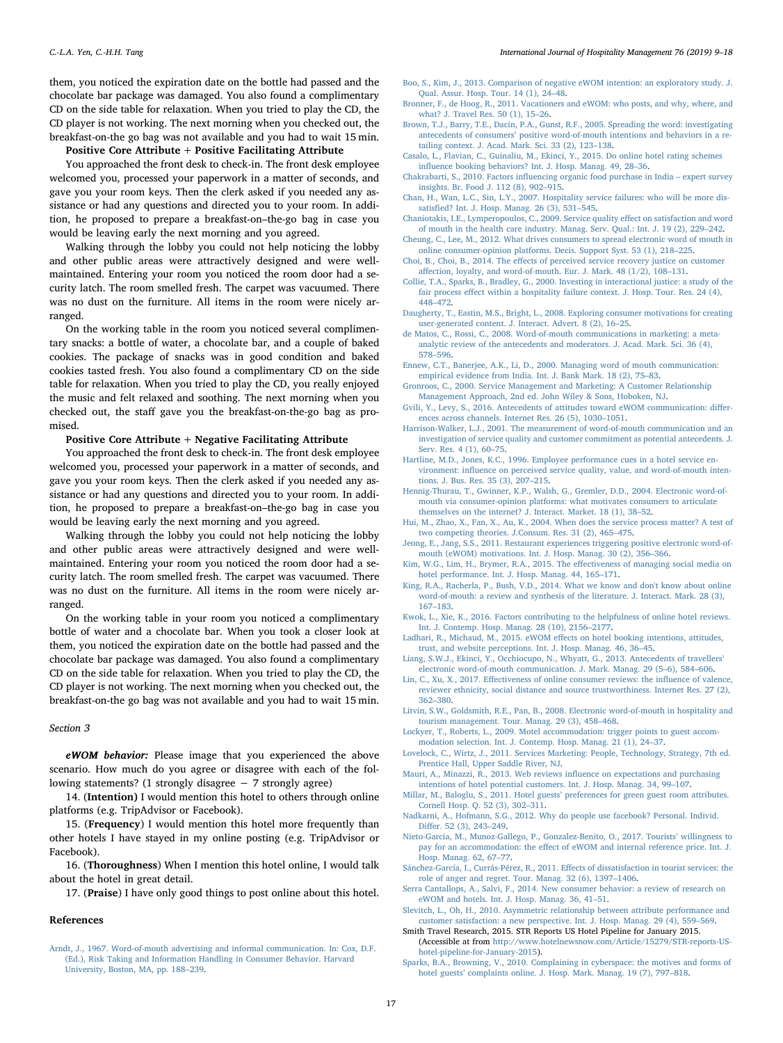them, you noticed the expiration date on the bottle had passed and the chocolate bar package was damaged. You also found a complimentary CD on the side table for relaxation. When you tried to play the CD, the CD player is not working. The next morning when you checked out, the breakfast-on-the go bag was not available and you had to wait 15 min.

### Positive Core Attribute + Positive Facilitating Attribute

You approached the front desk to check-in. The front desk employee welcomed you, processed your paperwork in a matter of seconds, and gave you your room keys. Then the clerk asked if you needed any assistance or had any questions and directed you to your room. In addition, he proposed to prepare a breakfast-on–the-go bag in case you would be leaving early the next morning and you agreed.

Walking through the lobby you could not help noticing the lobby and other public areas were attractively designed and were wellmaintained. Entering your room you noticed the room door had a security latch. The room smelled fresh. The carpet was vacuumed. There was no dust on the furniture. All items in the room were nicely arranged.

On the working table in the room you noticed several complimentary snacks: a bottle of water, a chocolate bar, and a couple of baked cookies. The package of snacks was in good condition and baked cookies tasted fresh. You also found a complimentary CD on the side table for relaxation. When you tried to play the CD, you really enjoyed the music and felt relaxed and soothing. The next morning when you checked out, the staff gave you the breakfast-on-the-go bag as promised.

## Positive Core Attribute + Negative Facilitating Attribute

You approached the front desk to check-in. The front desk employee welcomed you, processed your paperwork in a matter of seconds, and gave you your room keys. Then the clerk asked if you needed any assistance or had any questions and directed you to your room. In addition, he proposed to prepare a breakfast-on–the-go bag in case you would be leaving early the next morning and you agreed.

Walking through the lobby you could not help noticing the lobby and other public areas were attractively designed and were wellmaintained. Entering your room you noticed the room door had a security latch. The room smelled fresh. The carpet was vacuumed. There was no dust on the furniture. All items in the room were nicely arranged.

On the working table in your room you noticed a complimentary bottle of water and a chocolate bar. When you took a closer look at them, you noticed the expiration date on the bottle had passed and the chocolate bar package was damaged. You also found a complimentary CD on the side table for relaxation. When you tried to play the CD, the CD player is not working. The next morning when you checked out, the breakfast-on-the go bag was not available and you had to wait 15 min.

#### Section 3

eWOM behavior: Please image that you experienced the above scenario. How much do you agree or disagree with each of the following statements? (1 strongly disagree − 7 strongly agree)

14. (Intention) I would mention this hotel to others through online platforms (e.g. TripAdvisor or Facebook).

15. (Frequency) I would mention this hotel more frequently than other hotels I have stayed in my online posting (e.g. TripAdvisor or Facebook).

16. (Thoroughness) When I mention this hotel online, I would talk about the hotel in great detail.

17. (Praise) I have only good things to post online about this hotel.

#### References

<span id="page-8-13"></span>[Arndt, J., 1967. Word-of-mouth advertising and informal communication. In: Cox, D.F.](http://refhub.elsevier.com/S0278-4319(17)30727-2/sbref0005) [\(Ed.\), Risk Taking and Information Handling in Consumer Behavior. Harvard](http://refhub.elsevier.com/S0278-4319(17)30727-2/sbref0005) [University, Boston, MA, pp. 188](http://refhub.elsevier.com/S0278-4319(17)30727-2/sbref0005)–239.

- <span id="page-8-11"></span>[Boo, S., Kim, J., 2013. Comparison of negative eWOM intention: an exploratory study. J.](http://refhub.elsevier.com/S0278-4319(17)30727-2/sbref0010) [Qual. Assur. Hosp. Tour. 14 \(1\), 24](http://refhub.elsevier.com/S0278-4319(17)30727-2/sbref0010)–48.
- <span id="page-8-3"></span>[Bronner, F., de Hoog, R., 2011. Vacationers and eWOM: who posts, and why, where, and](http://refhub.elsevier.com/S0278-4319(17)30727-2/sbref0015) [what? J. Travel Res. 50 \(1\), 15](http://refhub.elsevier.com/S0278-4319(17)30727-2/sbref0015)–26.
- <span id="page-8-12"></span>[Brown, T.J., Barry, T.E., Dacin, P.A., Gunst, R.F., 2005. Spreading the word: investigating](http://refhub.elsevier.com/S0278-4319(17)30727-2/sbref0020) antecedents of consumers' [positive word-of-mouth intentions and behaviors in a re](http://refhub.elsevier.com/S0278-4319(17)30727-2/sbref0020)[tailing context. J. Acad. Mark. Sci. 33 \(2\), 123](http://refhub.elsevier.com/S0278-4319(17)30727-2/sbref0020)–138.
- <span id="page-8-15"></span>[Casalo, L., Flavian, C., Guinaliu, M., Ekinci, Y., 2015. Do online hotel rating schemes](http://refhub.elsevier.com/S0278-4319(17)30727-2/sbref0025) infl[uence booking behaviors? Int. J. Hosp. Manag. 49, 28](http://refhub.elsevier.com/S0278-4319(17)30727-2/sbref0025)–36.
- <span id="page-8-14"></span>Chakrabarti, S., 2010. Factors infl[uencing organic food purchase in India](http://refhub.elsevier.com/S0278-4319(17)30727-2/sbref0030) – expert survey [insights. Br. Food J. 112 \(8\), 902](http://refhub.elsevier.com/S0278-4319(17)30727-2/sbref0030)–915.
- <span id="page-8-35"></span>[Chan, H., Wan, L.C., Sin, L.Y., 2007. Hospitality service failures: who will be more dis](http://refhub.elsevier.com/S0278-4319(17)30727-2/sbref0035)satisfi[ed? Int. J. Hosp. Manag. 26 \(3\), 531](http://refhub.elsevier.com/S0278-4319(17)30727-2/sbref0035)–545.
- <span id="page-8-6"></span>[Chaniotakis, I.E., Lymperopoulos, C., 2009. Service quality e](http://refhub.elsevier.com/S0278-4319(17)30727-2/sbref0040)ffect on satisfaction and word [of mouth in the health care industry. Manag. Serv. Qual.: Int. J. 19 \(2\), 229](http://refhub.elsevier.com/S0278-4319(17)30727-2/sbref0040)–242.
- <span id="page-8-4"></span>[Cheung, C., Lee, M., 2012. What drives consumers to spread electronic word of mouth in](http://refhub.elsevier.com/S0278-4319(17)30727-2/sbref0045) [online consumer-opinion platforms. Decis. Support Syst. 53 \(1\), 218](http://refhub.elsevier.com/S0278-4319(17)30727-2/sbref0045)–225.
- <span id="page-8-31"></span>Choi, B., Choi, B., 2014. The eff[ects of perceived service recovery justice on customer](http://refhub.elsevier.com/S0278-4319(17)30727-2/sbref0050) aff[ection, loyalty, and word-of-mouth. Eur. J. Mark. 48 \(1/2\), 108](http://refhub.elsevier.com/S0278-4319(17)30727-2/sbref0050)–131.
- <span id="page-8-36"></span>[Collie, T.A., Sparks, B., Bradley, G., 2000. Investing in interactional justice: a study of the](http://refhub.elsevier.com/S0278-4319(17)30727-2/sbref0055) fair process eff[ect within a hospitality failure context. J. Hosp. Tour. Res. 24 \(4\),](http://refhub.elsevier.com/S0278-4319(17)30727-2/sbref0055) 448–[472](http://refhub.elsevier.com/S0278-4319(17)30727-2/sbref0055).
- <span id="page-8-21"></span>[Daugherty, T., Eastin, M.S., Bright, L., 2008. Exploring consumer motivations for creating](http://refhub.elsevier.com/S0278-4319(17)30727-2/sbref0060) [user-generated content. J. Interact. Advert. 8 \(2\), 16](http://refhub.elsevier.com/S0278-4319(17)30727-2/sbref0060)–25.
- <span id="page-8-20"></span>[de Matos, C., Rossi, C., 2008. Word-of-mouth communications in marketing: a meta](http://refhub.elsevier.com/S0278-4319(17)30727-2/sbref0065)[analytic review of the antecedents and moderators. J. Acad. Mark. Sci. 36 \(4\),](http://refhub.elsevier.com/S0278-4319(17)30727-2/sbref0065) 578–[596](http://refhub.elsevier.com/S0278-4319(17)30727-2/sbref0065).
- <span id="page-8-7"></span>[Ennew, C.T., Banerjee, A.K., Li, D., 2000. Managing word of mouth communication:](http://refhub.elsevier.com/S0278-4319(17)30727-2/sbref0070) [empirical evidence from India. Int. J. Bank Mark. 18 \(2\), 75](http://refhub.elsevier.com/S0278-4319(17)30727-2/sbref0070)–83.
- <span id="page-8-29"></span>[Gronroos, C., 2000. Service Management and Marketing: A Customer Relationship](http://refhub.elsevier.com/S0278-4319(17)30727-2/sbref0075) [Management Approach, 2nd ed. John Wiley & Sons, Hoboken, NJ.](http://refhub.elsevier.com/S0278-4319(17)30727-2/sbref0075)
- <span id="page-8-22"></span>[Gvili, Y., Levy, S., 2016. Antecedents of attitudes toward eWOM communication: di](http://refhub.elsevier.com/S0278-4319(17)30727-2/sbref0080)ffer[ences across channels. Internet Res. 26 \(5\), 1030](http://refhub.elsevier.com/S0278-4319(17)30727-2/sbref0080)–1051.
- <span id="page-8-8"></span>Harrison-Walker, [L.J., 2001. The measurement of word-of-mouth communication and an](http://refhub.elsevier.com/S0278-4319(17)30727-2/sbref0085) [investigation of service quality and customer commitment as potential antecedents. J.](http://refhub.elsevier.com/S0278-4319(17)30727-2/sbref0085) [Serv. Res. 4 \(1\), 60](http://refhub.elsevier.com/S0278-4319(17)30727-2/sbref0085)–75.
- <span id="page-8-33"></span>[Hartline, M.D., Jones, K.C., 1996. Employee performance cues in a hotel service en](http://refhub.elsevier.com/S0278-4319(17)30727-2/sbref0090)vironment: infl[uence on perceived service quality, value, and word-of-mouth inten](http://refhub.elsevier.com/S0278-4319(17)30727-2/sbref0090)[tions. J. Bus. Res. 35 \(3\), 207](http://refhub.elsevier.com/S0278-4319(17)30727-2/sbref0090)–215.
- <span id="page-8-23"></span>[Hennig-Thurau, T., Gwinner, K.P., Walsh, G., Gremler, D.D., 2004. Electronic word-of](http://refhub.elsevier.com/S0278-4319(17)30727-2/sbref0095)[mouth via consumer-opinion platforms: what motivates consumers to articulate](http://refhub.elsevier.com/S0278-4319(17)30727-2/sbref0095) [themselves on the internet? J. Interact. Market. 18 \(1\), 38](http://refhub.elsevier.com/S0278-4319(17)30727-2/sbref0095)–52.
- <span id="page-8-34"></span>[Hui, M., Zhao, X., Fan, X., Au, K., 2004. When does the service process matter? A test of](http://refhub.elsevier.com/S0278-4319(17)30727-2/sbref0100) [two competing theories. J.Consum. Res. 31 \(2\), 465](http://refhub.elsevier.com/S0278-4319(17)30727-2/sbref0100)–475.
- <span id="page-8-32"></span>[Jeong, E., Jang, S.S., 2011. Restaurant experiences triggering positive electronic word-of](http://refhub.elsevier.com/S0278-4319(17)30727-2/sbref0105)[mouth \(eWOM\) motivations. Int. J. Hosp. Manag. 30 \(2\), 356](http://refhub.elsevier.com/S0278-4319(17)30727-2/sbref0105)–366.
- <span id="page-8-38"></span>[Kim, W.G., Lim, H., Brymer, R.A., 2015. The e](http://refhub.elsevier.com/S0278-4319(17)30727-2/sbref0110)ffectiveness of managing social media on [hotel performance. Int. J. Hosp. Manag. 44, 165](http://refhub.elsevier.com/S0278-4319(17)30727-2/sbref0110)–171.
- <span id="page-8-1"></span>[King, R.A., Racherla, P., Bush, V.D., 2014. What we know and don't know about online](http://refhub.elsevier.com/S0278-4319(17)30727-2/sbref0115) [word-of-mouth: a review and synthesis of the literature. J. Interact. Mark. 28 \(3\),](http://refhub.elsevier.com/S0278-4319(17)30727-2/sbref0115) 167–[183](http://refhub.elsevier.com/S0278-4319(17)30727-2/sbref0115).
- <span id="page-8-26"></span>[Kwok, L., Xie, K., 2016. Factors contributing to the helpfulness of online hotel reviews.](http://refhub.elsevier.com/S0278-4319(17)30727-2/sbref0120) [Int. J. Contemp. Hosp. Manag. 28 \(10\), 2156](http://refhub.elsevier.com/S0278-4319(17)30727-2/sbref0120)–2177.
- <span id="page-8-16"></span>Ladhari, R., Michaud, M., 2015. eWOM eff[ects on hotel booking intentions, attitudes,](http://refhub.elsevier.com/S0278-4319(17)30727-2/sbref0125) [trust, and website perceptions. Int. J. Hosp. Manag. 46, 36](http://refhub.elsevier.com/S0278-4319(17)30727-2/sbref0125)–45.
- <span id="page-8-5"></span>[Liang, S.W.J., Ekinci, Y., Occhiocupo, N., Whyatt, G., 2013. Antecedents of travellers](http://refhub.elsevier.com/S0278-4319(17)30727-2/sbref0130)' [electronic word-of-mouth communication. J. Mark. Manag. 29 \(5](http://refhub.elsevier.com/S0278-4319(17)30727-2/sbref0130)–6), 584–606.
- <span id="page-8-24"></span>Lin, C., Xu, X., 2017. Eff[ectiveness of online consumer reviews: the in](http://refhub.elsevier.com/S0278-4319(17)30727-2/sbref0135)fluence of valence, [reviewer ethnicity, social distance and source trustworthiness. Internet Res. 27 \(2\),](http://refhub.elsevier.com/S0278-4319(17)30727-2/sbref0135) 362–[380](http://refhub.elsevier.com/S0278-4319(17)30727-2/sbref0135).
- <span id="page-8-0"></span>[Litvin, S.W., Goldsmith, R.E., Pan, B., 2008. Electronic word-of-mouth in hospitality and](http://refhub.elsevier.com/S0278-4319(17)30727-2/sbref0140) [tourism management. Tour. Manag. 29 \(3\), 458](http://refhub.elsevier.com/S0278-4319(17)30727-2/sbref0140)–468.
- <span id="page-8-27"></span>[Lockyer, T., Roberts, L., 2009. Motel accommodation: trigger points to guest accom](http://refhub.elsevier.com/S0278-4319(17)30727-2/sbref0145)[modation selection. Int. J. Contemp. Hosp. Manag. 21 \(1\), 24](http://refhub.elsevier.com/S0278-4319(17)30727-2/sbref0145)–37.
- <span id="page-8-30"></span>[Lovelock, C., Wirtz, J., 2011. Services Marketing: People, Technology, Strategy, 7th ed.](http://refhub.elsevier.com/S0278-4319(17)30727-2/sbref0150) [Prentice Hall, Upper Saddle River, NJ](http://refhub.elsevier.com/S0278-4319(17)30727-2/sbref0150).
- <span id="page-8-17"></span>[Mauri, A., Minazzi, R., 2013. Web reviews in](http://refhub.elsevier.com/S0278-4319(17)30727-2/sbref0155)fluence on expectations and purchasing [intentions of hotel potential customers. Int. J. Hosp. Manag. 34, 99](http://refhub.elsevier.com/S0278-4319(17)30727-2/sbref0155)–107.
- <span id="page-8-9"></span>Millar, M., Baloglu, S., 2011. Hotel guests' [preferences for green guest room attributes.](http://refhub.elsevier.com/S0278-4319(17)30727-2/sbref0160) [Cornell Hosp. Q. 52 \(3\), 302](http://refhub.elsevier.com/S0278-4319(17)30727-2/sbref0160)–311.
- <span id="page-8-25"></span>[Nadkarni, A., Hofmann, S.G., 2012. Why do people use facebook? Personal. Individ.](http://refhub.elsevier.com/S0278-4319(17)30727-2/sbref0165) Differ. [52 \(3\), 243](http://refhub.elsevier.com/S0278-4319(17)30727-2/sbref0165)–249.
- <span id="page-8-18"></span>[Nieto-Garcia, M., Munoz-Gallego, P., Gonzalez-Benito, O., 2017. Tourists](http://refhub.elsevier.com/S0278-4319(17)30727-2/sbref0170)' willingness to pay for an accommodation: the eff[ect of eWOM and internal reference price. Int. J.](http://refhub.elsevier.com/S0278-4319(17)30727-2/sbref0170) [Hosp. Manag. 62, 67](http://refhub.elsevier.com/S0278-4319(17)30727-2/sbref0170)–77.
- <span id="page-8-19"></span>[Sánchez-García, I., Currás-Pérez, R., 2011. E](http://refhub.elsevier.com/S0278-4319(17)30727-2/sbref0175)ffects of dissatisfaction in tourist services: the [role of anger and regret. Tour. Manag. 32 \(6\), 1397](http://refhub.elsevier.com/S0278-4319(17)30727-2/sbref0175)–1406.
- <span id="page-8-2"></span>[Serra Cantallops, A., Salvi, F., 2014. New consumer behavior: a review of research on](http://refhub.elsevier.com/S0278-4319(17)30727-2/sbref0180) [eWOM and hotels. Int. J. Hosp. Manag. 36, 41](http://refhub.elsevier.com/S0278-4319(17)30727-2/sbref0180)–51.
- <span id="page-8-10"></span>[Slevitch, L., Oh, H., 2010. Asymmetric relationship between attribute performance and](http://refhub.elsevier.com/S0278-4319(17)30727-2/sbref0185) [customer satisfaction: a new perspective. Int. J. Hosp. Manag. 29 \(4\), 559](http://refhub.elsevier.com/S0278-4319(17)30727-2/sbref0185)–569.
- <span id="page-8-37"></span>Smith Travel Research, 2015. STR Reports US Hotel Pipeline for January 2015. (Accessible at from [http://www.hotelnewsnow.com/Article/15279/STR-reports-US](http://www.hotelnewsnow.com/Article/15279/STR-reports-US-hotel-pipeline-for-January-2015)[hotel-pipeline-for-January-2015\)](http://www.hotelnewsnow.com/Article/15279/STR-reports-US-hotel-pipeline-for-January-2015).
- <span id="page-8-28"></span>[Sparks, B.A., Browning, V., 2010. Complaining in cyberspace: the motives and forms of](http://refhub.elsevier.com/S0278-4319(17)30727-2/sbref0195) hotel guests' [complaints online. J. Hosp. Mark. Manag. 19 \(7\), 797](http://refhub.elsevier.com/S0278-4319(17)30727-2/sbref0195)–818.